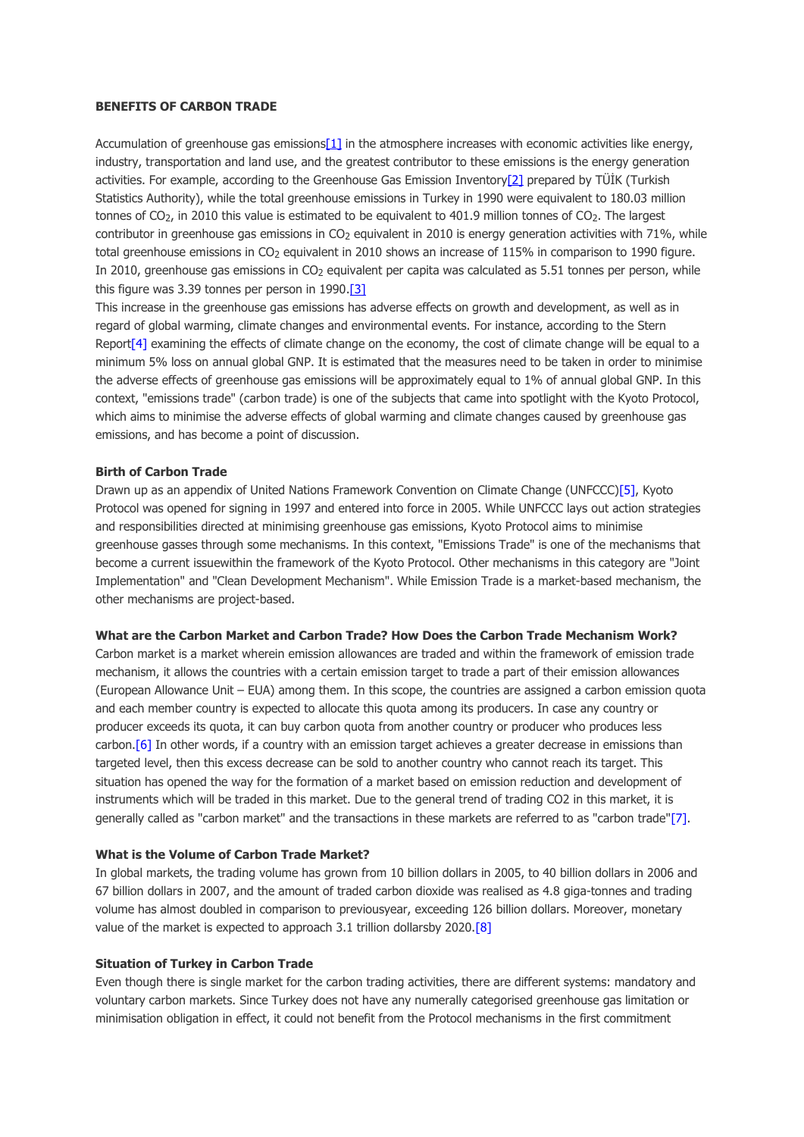### **BENEFITS OF CARBON TRADE**

Accumulation of greenhouse gas emission[s\[1\]](http://www.dogerlihukuk.com/login/?m=News&islem=duzenle&id=558#_ftn1) in the atmosphere increases with economic activities like energy, industry, transportation and land use, and the greatest contributor to these emissions is the energy generation activities. For example, according to the Greenhouse Gas Emission Inventor[y\[2\]](http://www.dogerlihukuk.com/login/?m=News&islem=duzenle&id=558#_ftn2) prepared by TÜİK (Turkish Statistics Authority), while the total greenhouse emissions in Turkey in 1990 were equivalent to 180.03 million tonnes of CO<sub>2</sub>, in 2010 this value is estimated to be equivalent to 401.9 million tonnes of CO<sub>2</sub>. The largest contributor in greenhouse gas emissions in CO<sub>2</sub> equivalent in 2010 is energy generation activities with 71%, while total greenhouse emissions in CO<sub>2</sub> equivalent in 2010 shows an increase of 115% in comparison to 1990 figure. In 2010, greenhouse gas emissions in CO<sub>2</sub> equivalent per capita was calculated as 5.51 tonnes per person, while this figure was 3.39 tonnes per person in 1990[.\[3\]](http://www.dogerlihukuk.com/login/?m=News&islem=duzenle&id=558#_ftn3)

This increase in the greenhouse gas emissions has adverse effects on growth and development, as well as in regard of global warming, climate changes and environmental events. For instance, according to the Stern Repor[t\[4\]](http://www.dogerlihukuk.com/login/?m=News&islem=duzenle&id=558#_ftn4) examining the effects of climate change on the economy, the cost of climate change will be equal to a minimum 5% loss on annual global GNP. It is estimated that the measures need to be taken in order to minimise the adverse effects of greenhouse gas emissions will be approximately equal to 1% of annual global GNP. In this context, "emissions trade" (carbon trade) is one of the subjects that came into spotlight with the Kyoto Protocol, which aims to minimise the adverse effects of global warming and climate changes caused by greenhouse gas emissions, and has become a point of discussion.

## **Birth of Carbon Trade**

Drawn up as an appendix of United Nations Framework Convention on Climate Change (UNFCCC[\)\[5\],](http://www.dogerlihukuk.com/login/?m=News&islem=duzenle&id=558#_ftn5) Kyoto Protocol was opened for signing in 1997 and entered into force in 2005. While UNFCCC lays out action strategies and responsibilities directed at minimising greenhouse gas emissions, Kyoto Protocol aims to minimise greenhouse gasses through some mechanisms. In this context, "Emissions Trade" is one of the mechanisms that become a current issuewithin the framework of the Kyoto Protocol. Other mechanisms in this category are "Joint Implementation" and "Clean Development Mechanism". While Emission Trade is a market-based mechanism, the other mechanisms are project-based.

#### **What are the Carbon Market and Carbon Trade? How Does the Carbon Trade Mechanism Work?**

Carbon market is a market wherein emission allowances are traded and within the framework of emission trade mechanism, it allows the countries with a certain emission target to trade a part of their emission allowances (European Allowance Unit – EUA) among them. In this scope, the countries are assigned a carbon emission quota and each member country is expected to allocate this quota among its producers. In case any country or producer exceeds its quota, it can buy carbon quota from another country or producer who produces less carbon.<sup>[6]</sup> In other words, if a country with an emission target achieves a greater decrease in emissions than targeted level, then this excess decrease can be sold to another country who cannot reach its target. This situation has opened the way for the formation of a market based on emission reduction and development of instruments which will be traded in this market. Due to the general trend of trading CO2 in this market, it is generally called as "carbon market" and the transactions in these markets are referred to as "carbon trade["\[7\].](http://www.dogerlihukuk.com/login/?m=News&islem=duzenle&id=558#_ftn7)

# **What is the Volume of Carbon Trade Market?**

In global markets, the trading volume has grown from 10 billion dollars in 2005, to 40 billion dollars in 2006 and 67 billion dollars in 2007, and the amount of traded carbon dioxide was realised as 4.8 giga-tonnes and trading volume has almost doubled in comparison to previousyear, exceeding 126 billion dollars. Moreover, monetary value of the market is expected to approach 3.1 trillion dollarsby 2020.<sup>[8]</sup>

### **Situation of Turkey in Carbon Trade**

Even though there is single market for the carbon trading activities, there are different systems: mandatory and voluntary carbon markets. Since Turkey does not have any numerally categorised greenhouse gas limitation or minimisation obligation in effect, it could not benefit from the Protocol mechanisms in the first commitment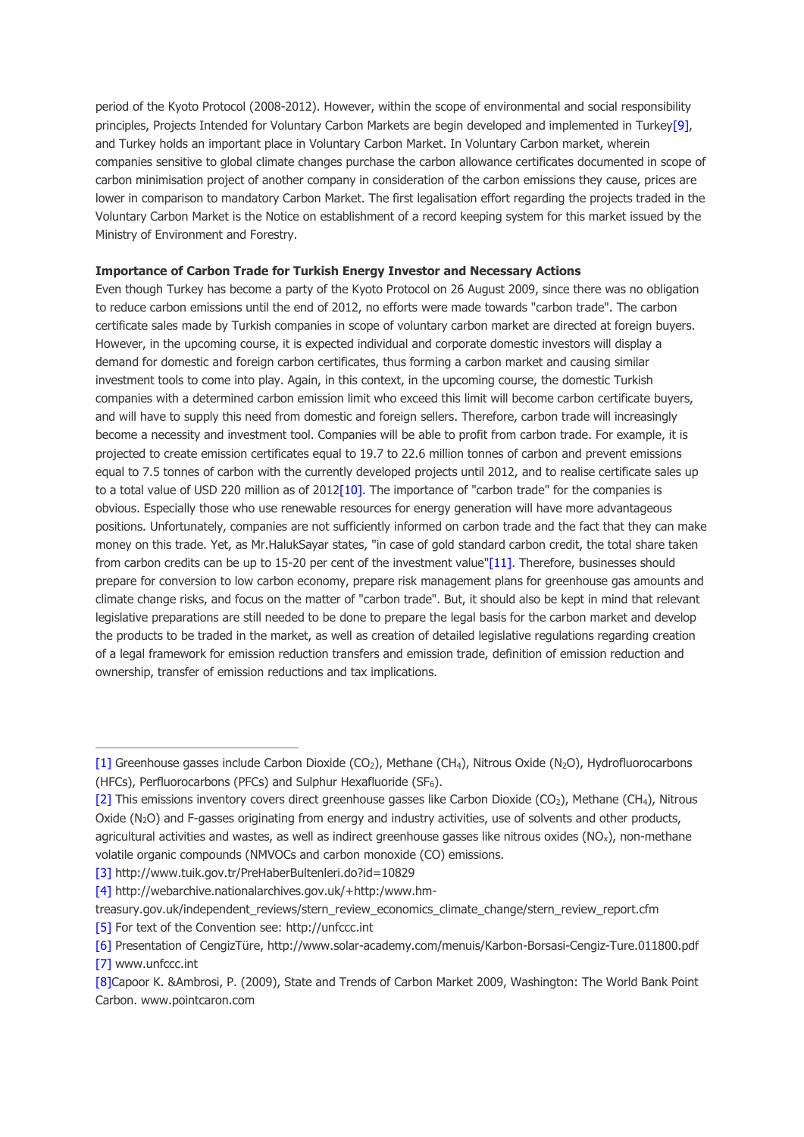period of the Kyoto Protocol (2008-2012). However, within the scope of environmental and social responsibility principles, Projects Intended for Voluntary Carbon Markets are begin developed and implemented in Turke[y\[9\],](http://www.dogerlihukuk.com/login/?m=News&islem=duzenle&id=558#_ftn9) and Turkey holds an important place in Voluntary Carbon Market. In Voluntary Carbon market, wherein companies sensitive to global climate changes purchase the carbon allowance certificates documented in scope of carbon minimisation project of another company in consideration of the carbon emissions they cause, prices are lower in comparison to mandatory Carbon Market. The first legalisation effort regarding the projects traded in the Voluntary Carbon Market is the Notice on establishment of a record keeping system for this market issued by the Ministry of Environment and Forestry.

## **Importance of Carbon Trade for Turkish Energy Investor and Necessary Actions**

Even though Turkey has become a party of the Kyoto Protocol on 26 August 2009, since there was no obligation to reduce carbon emissions until the end of 2012, no efforts were made towards "carbon trade". The carbon certificate sales made by Turkish companies in scope of voluntary carbon market are directed at foreign buyers. However, in the upcoming course, it is expected individual and corporate domestic investors will display a demand for domestic and foreign carbon certificates, thus forming a carbon market and causing similar investment tools to come into play. Again, in this context, in the upcoming course, the domestic Turkish companies with a determined carbon emission limit who exceed this limit will become carbon certificate buyers, and will have to supply this need from domestic and foreign sellers. Therefore, carbon trade will increasingly become a necessity and investment tool. Companies will be able to profit from carbon trade. For example, it is projected to create emission certificates equal to 19.7 to 22.6 million tonnes of carbon and prevent emissions equal to 7.5 tonnes of carbon with the currently developed projects until 2012, and to realise certificate sales up to a total value of USD 220 million as of 201[2\[10\].](http://www.dogerlihukuk.com/login/?m=News&islem=duzenle&id=558#_ftn10) The importance of "carbon trade" for the companies is obvious. Especially those who use renewable resources for energy generation will have more advantageous positions. Unfortunately, companies are not sufficiently informed on carbon trade and the fact that they can make money on this trade. Yet, as Mr.HalukSayar states, "in case of gold standard carbon credit, the total share taken from carbon credits can be up to 15-20 per cent of the investment value["\[11\].](http://www.dogerlihukuk.com/login/?m=News&islem=duzenle&id=558#_ftn11) Therefore, businesses should prepare for conversion to low carbon economy, prepare risk management plans for greenhouse gas amounts and climate change risks, and focus on the matter of "carbon trade". But, it should also be kept in mind that relevant legislative preparations are still needed to be done to prepare the legal basis for the carbon market and develop the products to be traded in the market, as well as creation of detailed legislative regulations regarding creation of a legal framework for emission reduction transfers and emission trade, definition of emission reduction and ownership, transfer of emission reductions and tax implications.

[\[3\]](http://www.dogerlihukuk.com/login/?m=News&islem=duzenle&id=558#_ftnref3) http://www.tuik.gov.tr/PreHaberBultenleri.do?id=10829

- treasury.gov.uk/independent\_reviews/stern\_review\_economics\_climate\_change/stern\_review\_report.cfm
- [\[5\]](http://www.dogerlihukuk.com/login/?m=News&islem=duzenle&id=558#_ftnref5) For text of the Convention see: http://unfccc.int

[<sup>\[1\]</sup>](http://www.dogerlihukuk.com/login/?m=News&islem=duzenle&id=558#_ftnref1) Greenhouse gasses include Carbon Dioxide (CO2), Methane (CH4), Nitrous Oxide (N2O), Hydrofluorocarbons (HFCs), Perfluorocarbons (PFCs) and Sulphur Hexafluoride (SF6).

[<sup>\[2\]</sup>](http://www.dogerlihukuk.com/login/?m=News&islem=duzenle&id=558#_ftnref2) This emissions inventory covers direct greenhouse gasses like Carbon Dioxide (CO<sub>2</sub>), Methane (CH<sub>4</sub>), Nitrous Oxide  $(N_2O)$  and F-gasses originating from energy and industry activities, use of solvents and other products, agricultural activities and wastes, as well as indirect greenhouse gasses like nitrous oxides (NO<sub>x</sub>), non-methane volatile organic compounds (NMVOCs and carbon monoxide (CO) emissions.

[<sup>\[4\]</sup>](http://www.dogerlihukuk.com/login/?m=News&islem=duzenle&id=558#_ftnref4) http://webarchive.nationalarchives.gov.uk/+http:/www.hm-

[<sup>\[6\]</sup>](http://www.dogerlihukuk.com/login/?m=News&islem=duzenle&id=558#_ftnref6) Presentation of CengizTüre, http://www.solar-academy.com/menuis/Karbon-Borsasi-Cengiz-Ture.011800.pdf [\[7\]](http://www.dogerlihukuk.com/login/?m=News&islem=duzenle&id=558#_ftnref7) www.unfccc.int

[<sup>\[8\]</sup>C](http://www.dogerlihukuk.com/login/?m=News&islem=duzenle&id=558#_ftnref8)apoor K. &Ambrosi, P. (2009), State and Trends of Carbon Market 2009, Washington: The World Bank Point Carbon. www.pointcaron.com